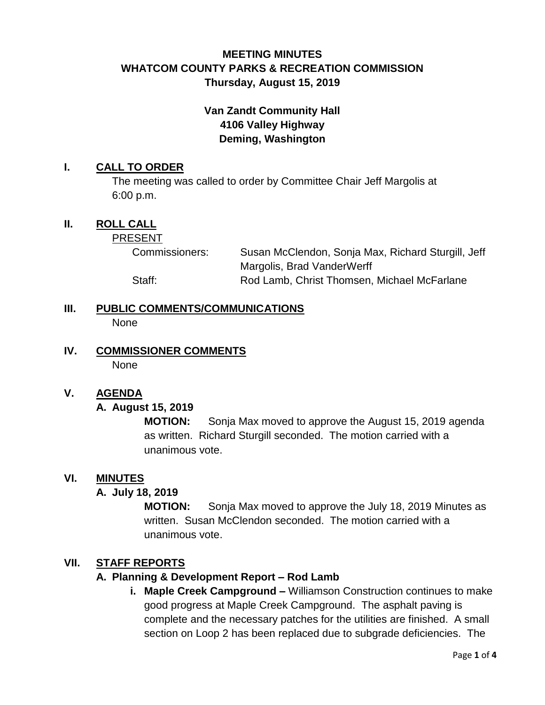# **MEETING MINUTES WHATCOM COUNTY PARKS & RECREATION COMMISSION Thursday, August 15, 2019**

# **Van Zandt Community Hall 4106 Valley Highway Deming, Washington**

## **I. CALL TO ORDER**

The meeting was called to order by Committee Chair Jeff Margolis at 6:00 p.m.

## **II. ROLL CALL**

PRESENT

Commissioners: Susan McClendon, Sonja Max, Richard Sturgill, Jeff Margolis, Brad VanderWerff

Staff: Rod Lamb, Christ Thomsen, Michael McFarlane

**III. PUBLIC COMMENTS/COMMUNICATIONS None** 

**IV. COMMISSIONER COMMENTS** None

### **V. AGENDA**

### **A. August 15, 2019**

**MOTION:** Sonja Max moved to approve the August 15, 2019 agenda as written. Richard Sturgill seconded. The motion carried with a unanimous vote.

### **VI. MINUTES**

### **A. July 18, 2019**

**MOTION:** Sonja Max moved to approve the July 18, 2019 Minutes as written. Susan McClendon seconded. The motion carried with a unanimous vote.

### **VII. STAFF REPORTS**

### **A. Planning & Development Report – Rod Lamb**

**i. Maple Creek Campground –** Williamson Construction continues to make good progress at Maple Creek Campground. The asphalt paving is complete and the necessary patches for the utilities are finished. A small section on Loop 2 has been replaced due to subgrade deficiencies. The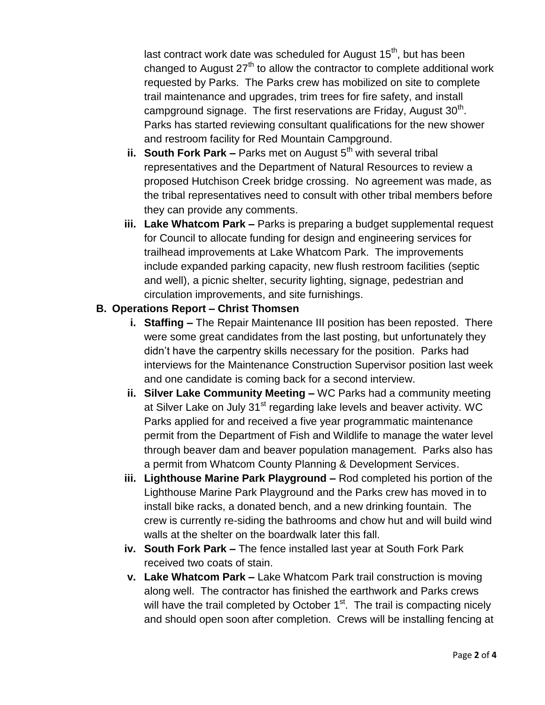last contract work date was scheduled for August  $15<sup>th</sup>$ , but has been changed to August  $27<sup>th</sup>$  to allow the contractor to complete additional work requested by Parks. The Parks crew has mobilized on site to complete trail maintenance and upgrades, trim trees for fire safety, and install campground signage. The first reservations are Friday, August  $30<sup>th</sup>$ . Parks has started reviewing consultant qualifications for the new shower and restroom facility for Red Mountain Campground.

- **ii. South Fork Park –** Parks met on August 5<sup>th</sup> with several tribal representatives and the Department of Natural Resources to review a proposed Hutchison Creek bridge crossing. No agreement was made, as the tribal representatives need to consult with other tribal members before they can provide any comments.
- **iii. Lake Whatcom Park –** Parks is preparing a budget supplemental request for Council to allocate funding for design and engineering services for trailhead improvements at Lake Whatcom Park. The improvements include expanded parking capacity, new flush restroom facilities (septic and well), a picnic shelter, security lighting, signage, pedestrian and circulation improvements, and site furnishings.

## **B. Operations Report – Christ Thomsen**

- **i. Staffing –** The Repair Maintenance III position has been reposted. There were some great candidates from the last posting, but unfortunately they didn't have the carpentry skills necessary for the position. Parks had interviews for the Maintenance Construction Supervisor position last week and one candidate is coming back for a second interview.
- **ii. Silver Lake Community Meeting –** WC Parks had a community meeting at Silver Lake on July 31<sup>st</sup> regarding lake levels and beaver activity. WC Parks applied for and received a five year programmatic maintenance permit from the Department of Fish and Wildlife to manage the water level through beaver dam and beaver population management. Parks also has a permit from Whatcom County Planning & Development Services.
- **iii. Lighthouse Marine Park Playground –** Rod completed his portion of the Lighthouse Marine Park Playground and the Parks crew has moved in to install bike racks, a donated bench, and a new drinking fountain. The crew is currently re-siding the bathrooms and chow hut and will build wind walls at the shelter on the boardwalk later this fall.
- **iv. South Fork Park –** The fence installed last year at South Fork Park received two coats of stain.
- **v. Lake Whatcom Park –** Lake Whatcom Park trail construction is moving along well. The contractor has finished the earthwork and Parks crews will have the trail completed by October 1<sup>st</sup>. The trail is compacting nicely and should open soon after completion. Crews will be installing fencing at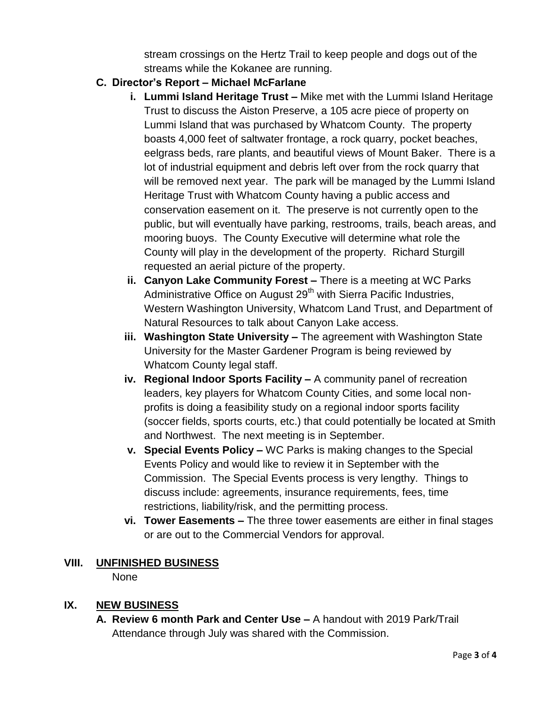stream crossings on the Hertz Trail to keep people and dogs out of the streams while the Kokanee are running.

- **C. Director's Report – Michael McFarlane**
	- **i. Lummi Island Heritage Trust –** Mike met with the Lummi Island Heritage Trust to discuss the Aiston Preserve, a 105 acre piece of property on Lummi Island that was purchased by Whatcom County. The property boasts 4,000 feet of saltwater frontage, a rock quarry, pocket beaches, eelgrass beds, rare plants, and beautiful views of Mount Baker. There is a lot of industrial equipment and debris left over from the rock quarry that will be removed next year. The park will be managed by the Lummi Island Heritage Trust with Whatcom County having a public access and conservation easement on it. The preserve is not currently open to the public, but will eventually have parking, restrooms, trails, beach areas, and mooring buoys. The County Executive will determine what role the County will play in the development of the property. Richard Sturgill requested an aerial picture of the property.
	- **ii. Canyon Lake Community Forest –** There is a meeting at WC Parks Administrative Office on August 29<sup>th</sup> with Sierra Pacific Industries, Western Washington University, Whatcom Land Trust, and Department of Natural Resources to talk about Canyon Lake access.
	- **iii. Washington State University –** The agreement with Washington State University for the Master Gardener Program is being reviewed by Whatcom County legal staff.
	- **iv. Regional Indoor Sports Facility –** A community panel of recreation leaders, key players for Whatcom County Cities, and some local nonprofits is doing a feasibility study on a regional indoor sports facility (soccer fields, sports courts, etc.) that could potentially be located at Smith and Northwest. The next meeting is in September.
	- **v. Special Events Policy –** WC Parks is making changes to the Special Events Policy and would like to review it in September with the Commission. The Special Events process is very lengthy. Things to discuss include: agreements, insurance requirements, fees, time restrictions, liability/risk, and the permitting process.
	- **vi. Tower Easements –** The three tower easements are either in final stages or are out to the Commercial Vendors for approval.

# **VIII. UNFINISHED BUSINESS**

None

# **IX. NEW BUSINESS**

**A. Review 6 month Park and Center Use –** A handout with 2019 Park/Trail Attendance through July was shared with the Commission.